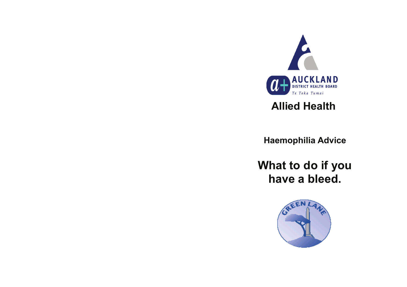

# **Allied Health**

**Haemophilia Advice** 

**What to do if you have a bleed.** 

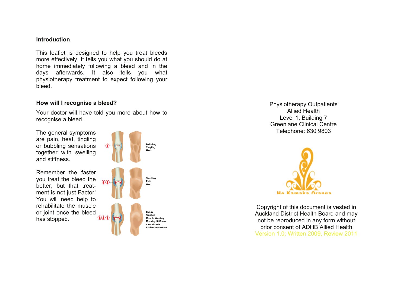#### **Introduction**

This leaflet is designed to help you treat bleeds more effectively. It tells you what you should do at home immediately following a bleed and in the days afterwards. It also tells you what physiotherapy treatment to expect following your bleed.

#### **How will I recognise a bleed?**

Your doctor will have told you more about how to recognise a bleed.

The general symptoms are pain, heat, tingling or bubbling sensations together with swelling and stiffness.

Remember the faster you treat the bleed the better, but that treatment is not just Factor! You will need help to rehabilitate the muscle or joint once the bleed has stopped.



Physiotherapy Outpatients Allied Health Level 1, Building 7 Greenlane Clinical Centre Telephone: 630 9803



Copyright of this document is vested in Auckland District Health Board and may not be reproduced in any form without prior consent of ADHB Allied Health Version 1.0; Written 2009, Review 2011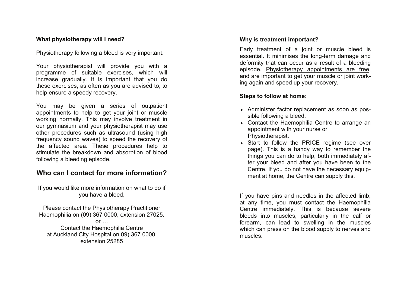## **What physiotherapy will I need?**

Physiotherapy following a bleed is very important.

Your physiotherapist will provide you with a programme of suitable exercises, which will increase gradually. It is important that you do these exercises, as often as you are advised to, to help ensure a speedy recovery.

You may be given a series of outpatient appointments to help to get your joint or muscle working normally. This may involve treatment in our gymnasium and your physiotherapist may use other procedures such as ultrasound (using high frequency sound waves) to speed the recovery of the affected area. These procedures help to stimulate the breakdown and absorption of blood following a bleeding episode.

## **Who can I contact for more information?**

If you would like more information on what to do if you have a bleed,

Please contact the Physiotherapy Practitioner Haemophilia on (09) 367 0000, extension 27025.

 $or \dots$ Contact the Haemophilia Centre at Auckland City Hospital on 09) 367 0000, extension 25285

### **Why is treatment important?**

Early treatment of a joint or muscle bleed is essential. It minimises the long-term damage and deformity that can occur as a result of a bleeding episode. Physiotherapy appointments are free, and are important to get your muscle or joint working again and speed up your recovery.

## **Steps to follow at home:**

- Administer factor replacement as soon as possible following a bleed.
- Contact the Haemophilia Centre to arrange an appointment with your nurse or Physiotherapist.
- Start to follow the PRICE regime (see over page). This is a handy way to remember the things you can do to help, both immediately after your bleed and after you have been to the Centre. If you do not have the necessary equipment at home, the Centre can supply this.

If you have pins and needles in the affected limb, at any time, you must contact the Haemophilia Centre immediately. This is because severe bleeds into muscles, particularly in the calf or forearm, can lead to swelling in the muscles which can press on the blood supply to nerves and muscles.